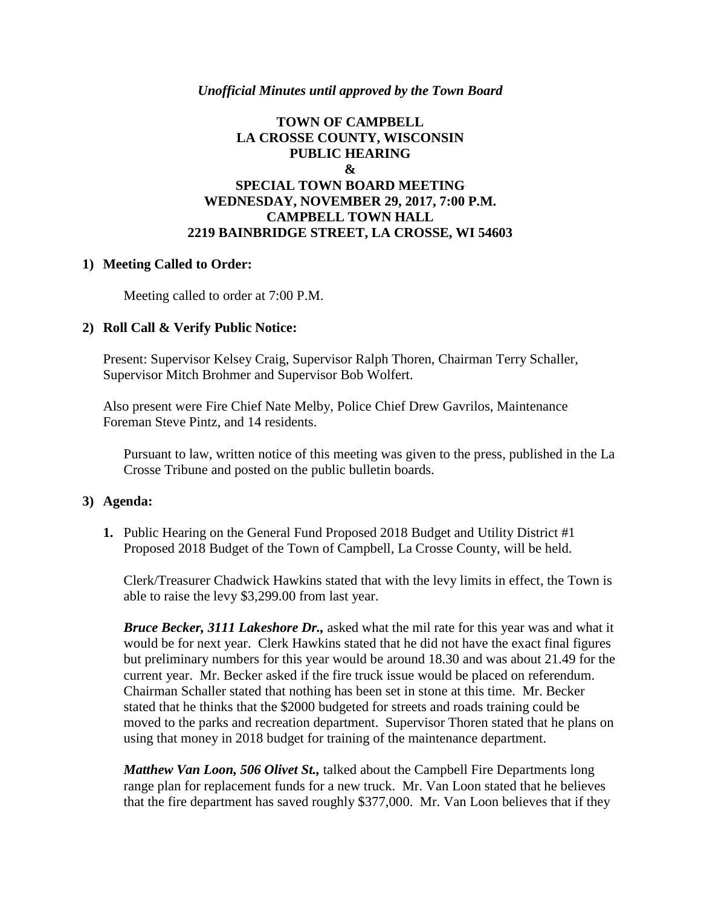## *Unofficial Minutes until approved by the Town Board*

# **TOWN OF CAMPBELL LA CROSSE COUNTY, WISCONSIN PUBLIC HEARING & SPECIAL TOWN BOARD MEETING WEDNESDAY, NOVEMBER 29, 2017, 7:00 P.M. CAMPBELL TOWN HALL 2219 BAINBRIDGE STREET, LA CROSSE, WI 54603**

## **1) Meeting Called to Order:**

Meeting called to order at 7:00 P.M.

## **2) Roll Call & Verify Public Notice:**

Present: Supervisor Kelsey Craig, Supervisor Ralph Thoren, Chairman Terry Schaller, Supervisor Mitch Brohmer and Supervisor Bob Wolfert.

Also present were Fire Chief Nate Melby, Police Chief Drew Gavrilos, Maintenance Foreman Steve Pintz, and 14 residents.

Pursuant to law, written notice of this meeting was given to the press, published in the La Crosse Tribune and posted on the public bulletin boards.

#### **3) Agenda:**

**1.** Public Hearing on the General Fund Proposed 2018 Budget and Utility District #1 Proposed 2018 Budget of the Town of Campbell, La Crosse County, will be held.

Clerk/Treasurer Chadwick Hawkins stated that with the levy limits in effect, the Town is able to raise the levy \$3,299.00 from last year.

*Bruce Becker, 3111 Lakeshore Dr.,* asked what the mil rate for this year was and what it would be for next year. Clerk Hawkins stated that he did not have the exact final figures but preliminary numbers for this year would be around 18.30 and was about 21.49 for the current year. Mr. Becker asked if the fire truck issue would be placed on referendum. Chairman Schaller stated that nothing has been set in stone at this time. Mr. Becker stated that he thinks that the \$2000 budgeted for streets and roads training could be moved to the parks and recreation department. Supervisor Thoren stated that he plans on using that money in 2018 budget for training of the maintenance department.

*Matthew Van Loon, 506 Olivet St.,* talked about the Campbell Fire Departments long range plan for replacement funds for a new truck. Mr. Van Loon stated that he believes that the fire department has saved roughly \$377,000. Mr. Van Loon believes that if they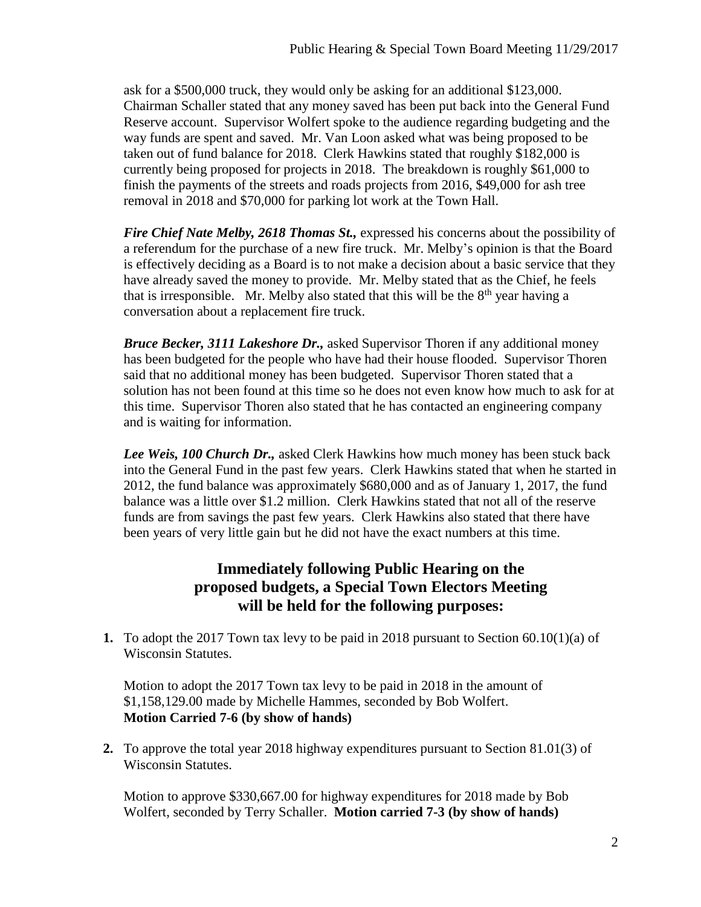ask for a \$500,000 truck, they would only be asking for an additional \$123,000. Chairman Schaller stated that any money saved has been put back into the General Fund Reserve account. Supervisor Wolfert spoke to the audience regarding budgeting and the way funds are spent and saved. Mr. Van Loon asked what was being proposed to be taken out of fund balance for 2018. Clerk Hawkins stated that roughly \$182,000 is currently being proposed for projects in 2018. The breakdown is roughly \$61,000 to finish the payments of the streets and roads projects from 2016, \$49,000 for ash tree removal in 2018 and \$70,000 for parking lot work at the Town Hall.

*Fire Chief Nate Melby, 2618 Thomas St.,* expressed his concerns about the possibility of a referendum for the purchase of a new fire truck. Mr. Melby's opinion is that the Board is effectively deciding as a Board is to not make a decision about a basic service that they have already saved the money to provide. Mr. Melby stated that as the Chief, he feels that is irresponsible. Mr. Melby also stated that this will be the  $8<sup>th</sup>$  year having a conversation about a replacement fire truck.

*Bruce Becker, 3111 Lakeshore Dr.,* asked Supervisor Thoren if any additional money has been budgeted for the people who have had their house flooded. Supervisor Thoren said that no additional money has been budgeted. Supervisor Thoren stated that a solution has not been found at this time so he does not even know how much to ask for at this time. Supervisor Thoren also stated that he has contacted an engineering company and is waiting for information.

*Lee Weis, 100 Church Dr.,* asked Clerk Hawkins how much money has been stuck back into the General Fund in the past few years. Clerk Hawkins stated that when he started in 2012, the fund balance was approximately \$680,000 and as of January 1, 2017, the fund balance was a little over \$1.2 million. Clerk Hawkins stated that not all of the reserve funds are from savings the past few years. Clerk Hawkins also stated that there have been years of very little gain but he did not have the exact numbers at this time.

# **Immediately following Public Hearing on the proposed budgets, a Special Town Electors Meeting will be held for the following purposes:**

**1.** To adopt the 2017 Town tax levy to be paid in 2018 pursuant to Section 60.10(1)(a) of Wisconsin Statutes.

Motion to adopt the 2017 Town tax levy to be paid in 2018 in the amount of \$1,158,129.00 made by Michelle Hammes, seconded by Bob Wolfert. **Motion Carried 7-6 (by show of hands)**

**2.** To approve the total year 2018 highway expenditures pursuant to Section 81.01(3) of Wisconsin Statutes.

Motion to approve \$330,667.00 for highway expenditures for 2018 made by Bob Wolfert, seconded by Terry Schaller. **Motion carried 7-3 (by show of hands)**